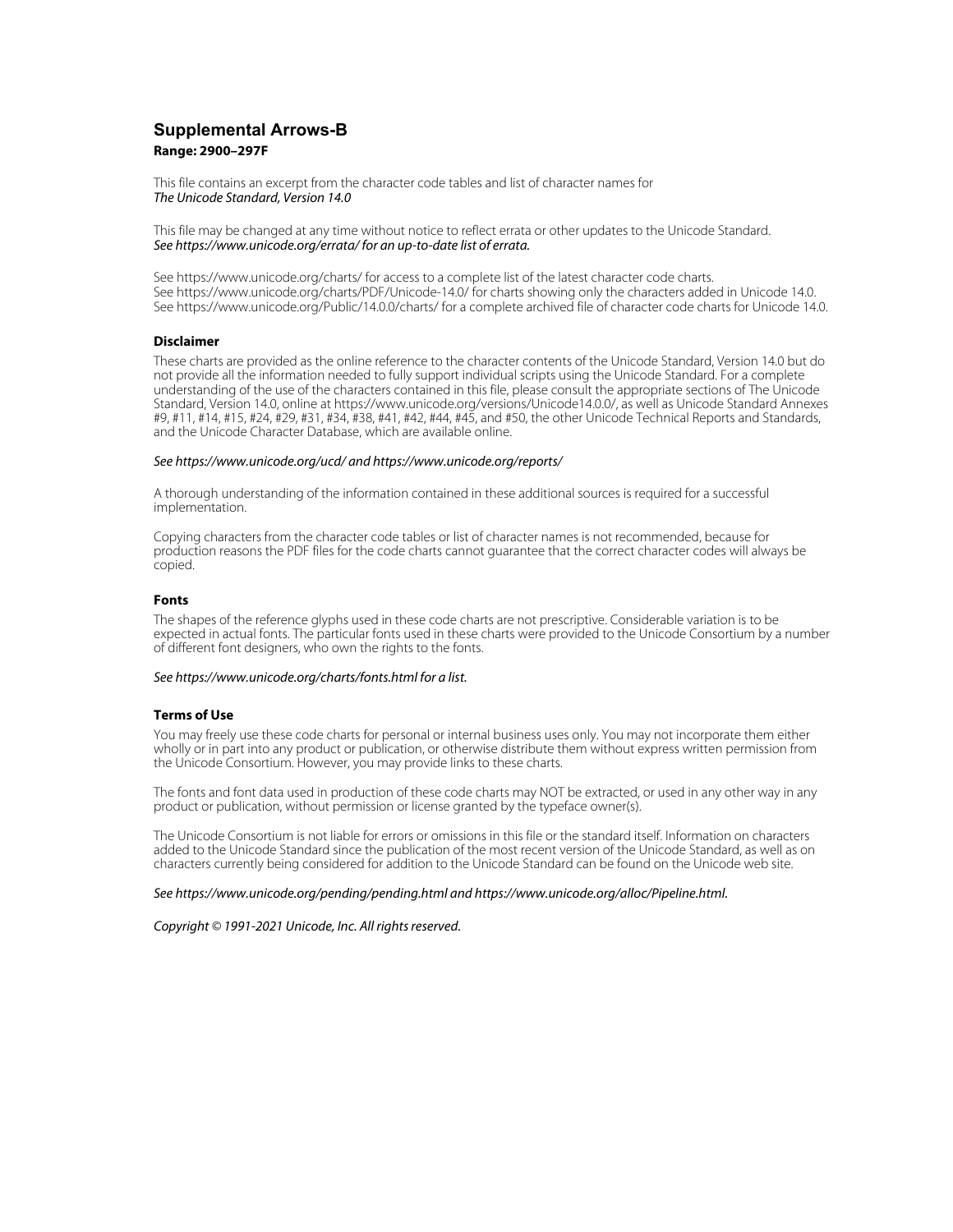# **Supplemental Arrows-B Range: 2900–297F**

This file contains an excerpt from the character code tables and list of character names for The Unicode Standard, Version 14.0

This file may be changed at any time without notice to reflect errata or other updates to the Unicode Standard. See https://www.unicode.org/errata/ for an up-to-date list of errata.

See https://www.unicode.org/charts/ for access to a complete list of the latest character code charts. See https://www.unicode.org/charts/PDF/Unicode-14.0/ for charts showing only the characters added in Unicode 14.0. See https://www.unicode.org/Public/14.0.0/charts/ for a complete archived file of character code charts for Unicode 14.0.

## **Disclaimer**

These charts are provided as the online reference to the character contents of the Unicode Standard, Version 14.0 but do not provide all the information needed to fully support individual scripts using the Unicode Standard. For a complete understanding of the use of the characters contained in this file, please consult the appropriate sections of The Unicode Standard, Version 14.0, online at https://www.unicode.org/versions/Unicode14.0.0/, as well as Unicode Standard Annexes #9, #11, #14, #15, #24, #29, #31, #34, #38, #41, #42, #44, #45, and #50, the other Unicode Technical Reports and Standards, and the Unicode Character Database, which are available online.

### See https://www.unicode.org/ucd/ and https://www.unicode.org/reports/

A thorough understanding of the information contained in these additional sources is required for a successful implementation.

Copying characters from the character code tables or list of character names is not recommended, because for production reasons the PDF files for the code charts cannot guarantee that the correct character codes will always be copied.

#### **Fonts**

The shapes of the reference glyphs used in these code charts are not prescriptive. Considerable variation is to be expected in actual fonts. The particular fonts used in these charts were provided to the Unicode Consortium by a number of different font designers, who own the rights to the fonts.

### See https://www.unicode.org/charts/fonts.html for a list.

### **Terms of Use**

You may freely use these code charts for personal or internal business uses only. You may not incorporate them either wholly or in part into any product or publication, or otherwise distribute them without express written permission from the Unicode Consortium. However, you may provide links to these charts.

The fonts and font data used in production of these code charts may NOT be extracted, or used in any other way in any product or publication, without permission or license granted by the typeface owner(s).

The Unicode Consortium is not liable for errors or omissions in this file or the standard itself. Information on characters added to the Unicode Standard since the publication of the most recent version of the Unicode Standard, as well as on characters currently being considered for addition to the Unicode Standard can be found on the Unicode web site.

#### See https://www.unicode.org/pending/pending.html and https://www.unicode.org/alloc/Pipeline.html.

Copyright © 1991-2021 Unicode, Inc. All rights reserved.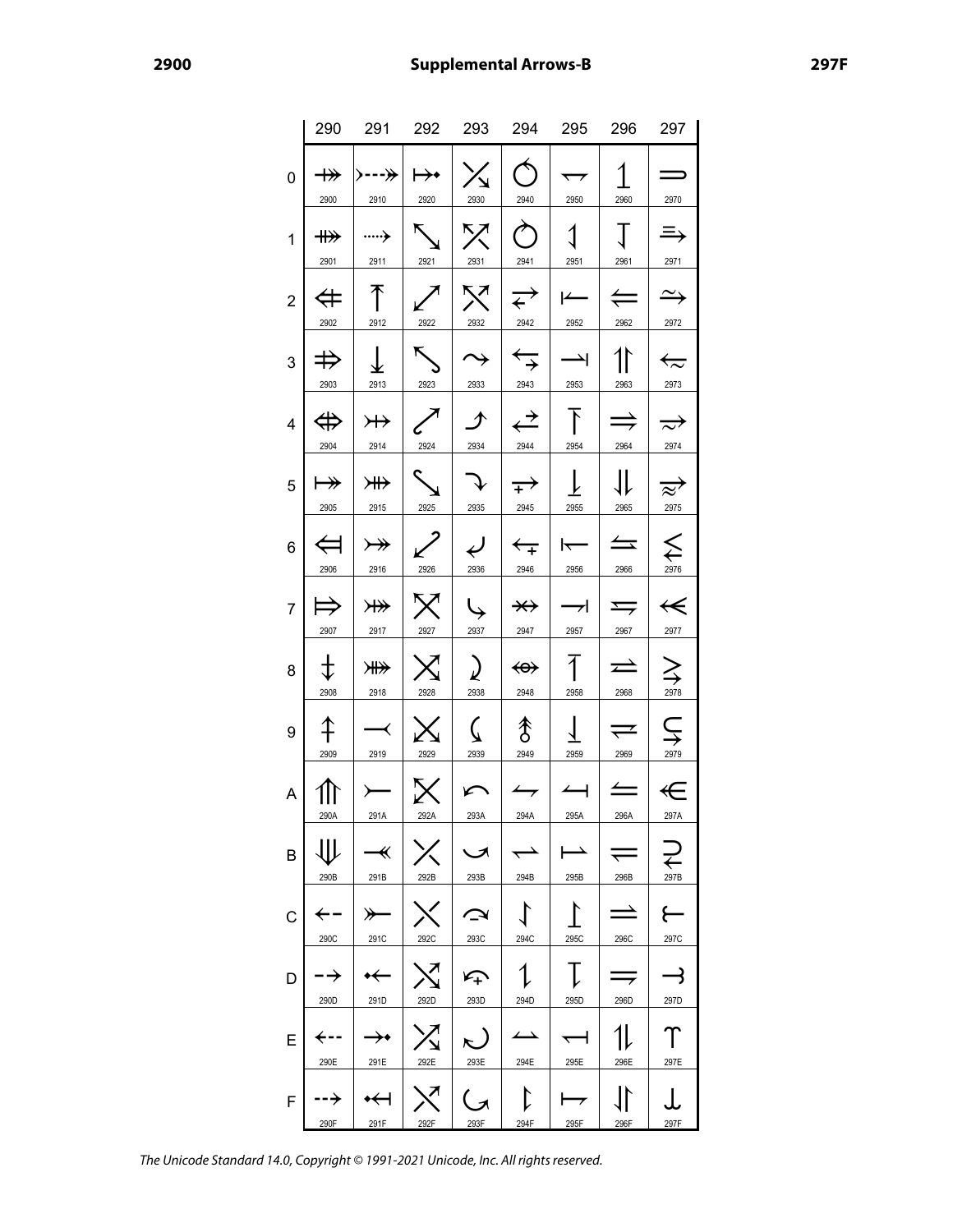|                |                               | 290 291 292 293 294 295 296                                       |                                                   |                               |                                  |                                     |                              | 297                                |
|----------------|-------------------------------|-------------------------------------------------------------------|---------------------------------------------------|-------------------------------|----------------------------------|-------------------------------------|------------------------------|------------------------------------|
| 0              | $\twoheadrightarrow$<br>2900  | >---≫ <br>2910                                                    | $\mapsto$<br>2920                                 | $\lambda$<br>2930             | $\hat{\mathcal{D}}$<br>2940      | $\overline{\phantom{0}}$<br>2950    | 1<br>2960                    | 2970                               |
| 1              | $\nrightarrow$<br>2901        | ……<br>2911                                                        | $\sum$<br>2921                                    | $\nabla$<br>2931              | $\bm{\gamma}$<br>2941            | $\mathbf 1$<br>2951                 | $\Gamma$<br>2961             | 三<br>2971                          |
| $\overline{c}$ | $\Leftrightarrow$<br>2902     | 不<br>2912                                                         | 2922                                              | $\times$ $\mid$<br>2932       | 2942                             | $\rightarrow$ $\rightarrow$<br>2952 | $\Leftarrow$<br>2962         | $\rightarrow$<br>2972              |
| 3              | $\Rightarrow$<br>2903         | $\downarrow$<br>2913                                              | 2923                                              | $\rightarrow$<br>2933         | $\overleftarrow{\div}$<br>2943   | $\rightarrow$<br>2953               | 11<br>2963                   | $\overleftarrow{\sim}$<br>2973     |
| 4              | $\Leftrightarrow$ $ $<br>2904 | 2914                                                              | $\rightarrow$ $\rightarrow$ $\sim$ $\mid$<br>2924 | ナ<br>2934                     | $\Leftrightarrow$<br>2944        | $\top$<br>2954                      | $\Rightarrow$<br>2964        | $\Rightarrow$<br>2974              |
| 5              | $\mapsto$<br>2905             | $\overline{H}$<br>2915                                            | $\mathcal{L}$<br>2925                             | $\mathcal{T}$<br>2935         | $\rightarrow$ 1<br>2945          | $\downarrow$<br>2955                | JL<br>2965                   | $\overrightarrow{\approx}$<br>2975 |
| 6              | $\Leftrightarrow$<br>2906     | $\rightarrow$<br>2916                                             | 2926                                              | $\overline{\epsilon}$<br>2936 | 2946                             | $\leftarrow$   $\leftarrow$<br>2956 | $\leftarrow$<br>2966         | $\sum_{\frac{2976}{}}$             |
| $\overline{7}$ | 2907                          | $\Rightarrow$ $\ket{m}$ $\sqrt{2}$<br>2917                        | 2927                                              | $\downarrow$<br>2937          | $\overrightarrow{+}$<br>2947     | $\rightarrow$<br>2957               | $\Rightarrow$<br>2967        | $\leftarrow$<br>2977               |
| 8              | $\pm$<br>2908                 | ¥¥<br>2918                                                        | 2928                                              | $\lambda$<br>2938             | <del>∢o∢</del><br>2948           | $\overline{1}$<br>2958              | $\rightleftarrows$<br>2968   | $\sum_{\frac{2978}{}}$             |
| 9              | $\uparrow$<br>2909            | $\overline{\phantom{a}}$<br>2919                                  | $\mathsf{X}$<br>2929                              | $\zeta$<br>2939               | $\hat{\mathcal{S}}$<br>2949      | 2959                                | $\rightleftharpoons$<br>2969 | $\subsetneq$<br>2979               |
| A              | $\mathbb{P}$<br>290A          | $\leftarrow$<br>291A                                              | $\mathsf{K}$<br>292A                              | $\sqrt{}$<br>293A             | 294A                             | $\leftarrow$<br>295A                | $\leftrightharpoons$<br>296A | €<br>297A                          |
| B              | JIL<br>290B                   | $\overline{\mathcal{K}}$<br>291B                                  | 292B                                              | $\blacktriangleright$<br>293B | 294B                             | 295B                                | 296B                         | $\overline{\leftarrow}$<br>297B    |
| C              | 290C                          | ⊁<br>291C                                                         | 292C                                              | ↷<br>293C                     | 294C                             | 295C                                | 296C                         | 297C                               |
| D              | ∙→<br>290D                    | $\bm{\leftarrow}$<br>291D                                         | 292D                                              | $\zeta_{\!+}$<br>293D         | 294D                             | 295D                                | 296D                         | $\rightarrow$<br>297D              |
| Е              | 290E                          | $\rightarrow\hspace{-4pt}\rightarrow\hspace{-4pt}\bullet$<br>291E | 292E                                              | 293E                          | $\overline{\phantom{a}}$<br>294E | $\overline{\phantom{0}}$<br>295E    | 296E                         | 297E                               |
| F              | …→<br>290F                    | $\bm{\dot{+}}$<br>291F                                            | $\mathbf{v}$<br>292F                              | ( x<br>293F                   | 294F                             | 295F                                | 296F                         | . I.<br>297F                       |

The Unicode Standard 14.0, Copyright © 1991-2021 Unicode, Inc. All rights reserved.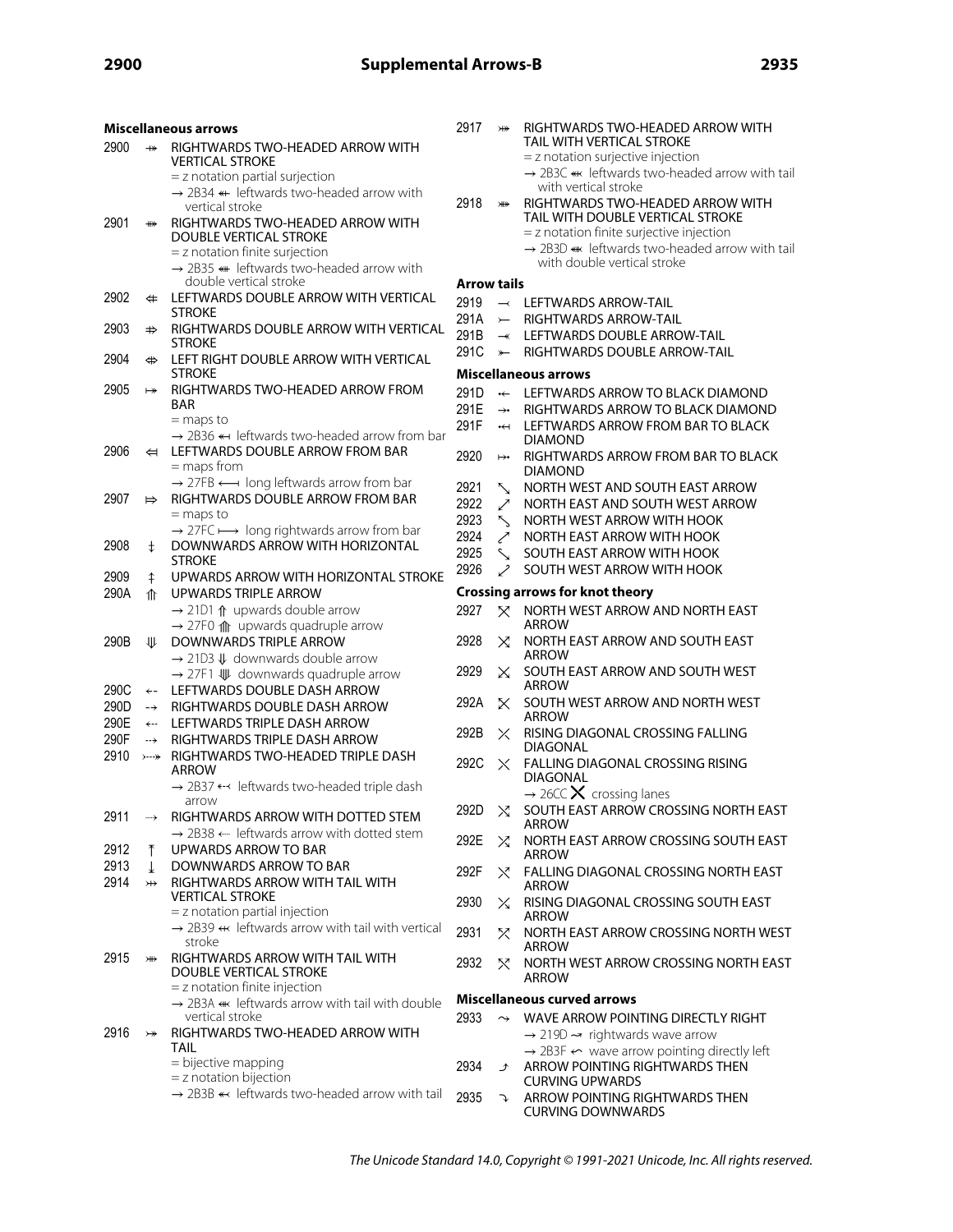| <b>Miscellaneous arrows</b> |                                      |                                                                                                             | 2917               | ¥                        | RIGHTWARDS TWO-HEADED ARROW WITH                                                                                            |
|-----------------------------|--------------------------------------|-------------------------------------------------------------------------------------------------------------|--------------------|--------------------------|-----------------------------------------------------------------------------------------------------------------------------|
| 2900                        | $\leftrightarrow$                    | RIGHTWARDS TWO-HEADED ARROW WITH                                                                            |                    |                          | TAIL WITH VERTICAL STROKE                                                                                                   |
|                             |                                      | <b>VERTICAL STROKE</b>                                                                                      |                    |                          | = z notation surjective injection<br>→ 2B3C « leftwards two-headed arrow with tail                                          |
|                             |                                      | $=$ z notation partial surjection                                                                           |                    |                          | with vertical stroke                                                                                                        |
|                             |                                      | $\rightarrow$ 2B34 « leftwards two-headed arrow with<br>vertical stroke                                     | 2918               | ¥                        | RIGHTWARDS TWO-HEADED ARROW WITH                                                                                            |
| 2901                        | ₩                                    | RIGHTWARDS TWO-HEADED ARROW WITH                                                                            |                    |                          | TAIL WITH DOUBLE VERTICAL STROKE                                                                                            |
|                             |                                      | DOUBLE VERTICAL STROKE                                                                                      |                    |                          | = z notation finite surjective injection                                                                                    |
|                             |                                      | $=$ z notation finite surjection                                                                            |                    |                          | $\rightarrow$ 2B3D « leftwards two-headed arrow with tail                                                                   |
|                             |                                      | $\rightarrow$ 2B35 « leftwards two-headed arrow with                                                        |                    |                          | with double vertical stroke                                                                                                 |
|                             |                                      | double vertical stroke                                                                                      | <b>Arrow tails</b> |                          |                                                                                                                             |
| 2902                        | $\Leftrightarrow$                    | LEFTWARDS DOUBLE ARROW WITH VERTICAL<br><b>STROKE</b>                                                       | 2919               |                          | $\rightarrow$ LEFTWARDS ARROW-TAIL                                                                                          |
| 2903                        | $\Rightarrow$                        | RIGHTWARDS DOUBLE ARROW WITH VERTICAL                                                                       | 291A               | $\leftarrow$             | RIGHTWARDS ARROW-TAIL                                                                                                       |
|                             |                                      | <b>STROKE</b>                                                                                               | 291B               | $\overline{\phantom{a}}$ | LEFTWARDS DOUBLE ARROW-TAIL                                                                                                 |
| 2904                        | $\Leftrightarrow$                    | LEFT RIGHT DOUBLE ARROW WITH VERTICAL                                                                       | 291C               | $\rightarrow$            | RIGHTWARDS DOUBLE ARROW-TAIL                                                                                                |
|                             |                                      | <b>STROKE</b>                                                                                               |                    |                          | <b>Miscellaneous arrows</b>                                                                                                 |
| 2905                        | $\mapsto$                            | RIGHTWARDS TWO-HEADED ARROW FROM                                                                            |                    |                          | ← LEFTWARDS ARROW TO BLACK DIAMOND                                                                                          |
|                             |                                      | <b>BAR</b>                                                                                                  | 291E               | $\rightarrow \bullet$    | RIGHTWARDS ARROW TO BLACK DIAMOND                                                                                           |
|                             |                                      | $=$ maps to<br>$\rightarrow$ 2B36 $\leftarrow$ leftwards two-headed arrow from bar                          | 291F               | $\overline{\mathbf{t}}$  | LEFTWARDS ARROW FROM BAR TO BLACK                                                                                           |
| 2906                        | $\Leftrightarrow$                    | LEFTWARDS DOUBLE ARROW FROM BAR                                                                             |                    |                          | <b>DIAMOND</b>                                                                                                              |
|                             |                                      | $=$ maps from                                                                                               | 2920               | $\mapsto$                | RIGHTWARDS ARROW FROM BAR TO BLACK<br><b>DIAMOND</b>                                                                        |
|                             |                                      | $\rightarrow$ 27FB $\leftarrow$ long leftwards arrow from bar                                               | 2921               | $\sum_{i=1}^{n}$         | NORTH WEST AND SOUTH EAST ARROW                                                                                             |
| 2907                        | $\Rightarrow$                        | RIGHTWARDS DOUBLE ARROW FROM BAR                                                                            | 2922               | ↗                        | NORTH EAST AND SOUTH WEST ARROW                                                                                             |
|                             |                                      | $=$ maps to                                                                                                 | 2923               | ╲                        | NORTH WEST ARROW WITH HOOK                                                                                                  |
|                             |                                      | $\rightarrow$ 27FC $\longmapsto$ long rightwards arrow from bar                                             | 2924               | ↗                        | NORTH EAST ARROW WITH HOOK                                                                                                  |
| 2908                        | $\ddagger$                           | DOWNWARDS ARROW WITH HORIZONTAL                                                                             | 2925               | $\sim$                   | SOUTH EAST ARROW WITH HOOK                                                                                                  |
| 2909                        |                                      | <b>STROKE</b><br>UPWARDS ARROW WITH HORIZONTAL STROKE                                                       | 2926               | ╱                        | SOUTH WEST ARROW WITH HOOK                                                                                                  |
| 290A                        | ⇞<br>⇑                               | UPWARDS TRIPLE ARROW                                                                                        |                    |                          | <b>Crossing arrows for knot theory</b>                                                                                      |
|                             |                                      | $\rightarrow$ 21D1 $\Uparrow$ upwards double arrow                                                          | 2927               | X.                       | NORTH WEST ARROW AND NORTH EAST                                                                                             |
|                             |                                      | $\rightarrow$ 27F0 $\text{m}$ upwards quadruple arrow                                                       |                    |                          | <b>ARROW</b>                                                                                                                |
| 290B                        | 业                                    | DOWNWARDS TRIPLE ARROW                                                                                      | 2928               | X                        | NORTH EAST ARROW AND SOUTH EAST                                                                                             |
|                             |                                      | $\rightarrow$ 21D3 $\downarrow$ downwards double arrow                                                      |                    |                          | <b>ARROW</b>                                                                                                                |
|                             |                                      | $\rightarrow$ 27F1 $\mathbb{U}$ downwards quadruple arrow                                                   | 2929               | X.                       | SOUTH EAST ARROW AND SOUTH WEST                                                                                             |
| 290C                        | $\leftarrow$                         | LEFTWARDS DOUBLE DASH ARROW                                                                                 |                    |                          | <b>ARROW</b>                                                                                                                |
| 290D                        | $\rightarrow$                        | RIGHTWARDS DOUBLE DASH ARROW                                                                                | 292A               | X                        | SOUTH WEST ARROW AND NORTH WEST<br><b>ARROW</b>                                                                             |
| 290E                        | $\leftarrow$                         | LEFTWARDS TRIPLE DASH ARROW                                                                                 | 292B               | $\times$                 | RISING DIAGONAL CROSSING FALLING                                                                                            |
| 290F                        | $\rightarrow$                        | RIGHTWARDS TRIPLE DASH ARROW                                                                                |                    |                          | DIAGONAL                                                                                                                    |
| 2910                        | $\rangle$ --- $\rangle\!\!\!\rangle$ | RIGHTWARDS TWO-HEADED TRIPLE DASH                                                                           | 292C               |                          | $\times$ FALLING DIAGONAL CROSSING RISING                                                                                   |
|                             |                                      | <b>ARROW</b><br>→ 2B37 <-< leftwards two-headed triple dash                                                 |                    |                          | <b>DIAGONAL</b>                                                                                                             |
|                             |                                      | arrow                                                                                                       |                    |                          | $\rightarrow$ 26CC X crossing lanes                                                                                         |
| 2911                        |                                      | RIGHTWARDS ARROW WITH DOTTED STEM                                                                           | 292D               | Χ                        | SOUTH EAST ARROW CROSSING NORTH EAST                                                                                        |
|                             |                                      | $\rightarrow$ 2B38 $\leftarrow$ leftwards arrow with dotted stem                                            | 292E               |                          | <b>ARROW</b><br>NORTH EAST ARROW CROSSING SOUTH EAST                                                                        |
| 2912                        |                                      | UPWARDS ARROW TO BAR                                                                                        |                    | ✕                        | ARROW                                                                                                                       |
| 2913                        | ↓                                    | DOWNWARDS ARROW TO BAR                                                                                      | 292F               |                          | $\chi$ FALLING DIAGONAL CROSSING NORTH EAST                                                                                 |
| 2914                        | $\rightarrow$                        | RIGHTWARDS ARROW WITH TAIL WITH                                                                             |                    |                          | <b>ARROW</b>                                                                                                                |
|                             |                                      | <b>VERTICAL STROKE</b>                                                                                      | 2930               |                          | $\times$ RISING DIAGONAL CROSSING SOUTH EAST                                                                                |
|                             |                                      | $=$ z notation partial injection<br>$\rightarrow$ 2B39 $\leftarrow$ leftwards arrow with tail with vertical |                    |                          | <b>ARROW</b>                                                                                                                |
|                             |                                      | stroke                                                                                                      | 2931               | X.                       | NORTH EAST ARROW CROSSING NORTH WEST                                                                                        |
| 2915                        | ₩                                    | <b>RIGHTWARDS ARROW WITH TAIL WITH</b>                                                                      | 2932               |                          | ARROW<br>NORTH WEST ARROW CROSSING NORTH EAST                                                                               |
|                             |                                      | <b>DOUBLE VERTICAL STROKE</b>                                                                               |                    | X                        | <b>ARROW</b>                                                                                                                |
|                             |                                      | $=$ z notation finite injection                                                                             |                    |                          | <b>Miscellaneous curved arrows</b>                                                                                          |
|                             |                                      | $\rightarrow$ 2B3A $\leftarrow$ leftwards arrow with tail with double                                       |                    |                          |                                                                                                                             |
| 2916                        |                                      | vertical stroke<br>RIGHTWARDS TWO-HEADED ARROW WITH                                                         | 2933               | $\rightarrow$            | WAVE ARROW POINTING DIRECTLY RIGHT                                                                                          |
|                             | $\rightarrowtail$                    | <b>TAIL</b>                                                                                                 |                    |                          | $\rightarrow$ 219D $\rightarrow$ rightwards wave arrow<br>$\rightarrow$ 2B3F $\leftarrow$ wave arrow pointing directly left |
|                             |                                      | = bijective mapping                                                                                         | 2934               | $\mathcal{F}$            | ARROW POINTING RIGHTWARDS THEN                                                                                              |
|                             |                                      | $=$ z notation bijection                                                                                    |                    |                          | <b>CURVING UPWARDS</b>                                                                                                      |
|                             |                                      | $\rightarrow$ 2B3B « leftwards two-headed arrow with tail                                                   | 2935               | J                        | ARROW POINTING RIGHTWARDS THEN                                                                                              |
|                             |                                      |                                                                                                             |                    |                          | <b>CURVING DOWNWARDS</b>                                                                                                    |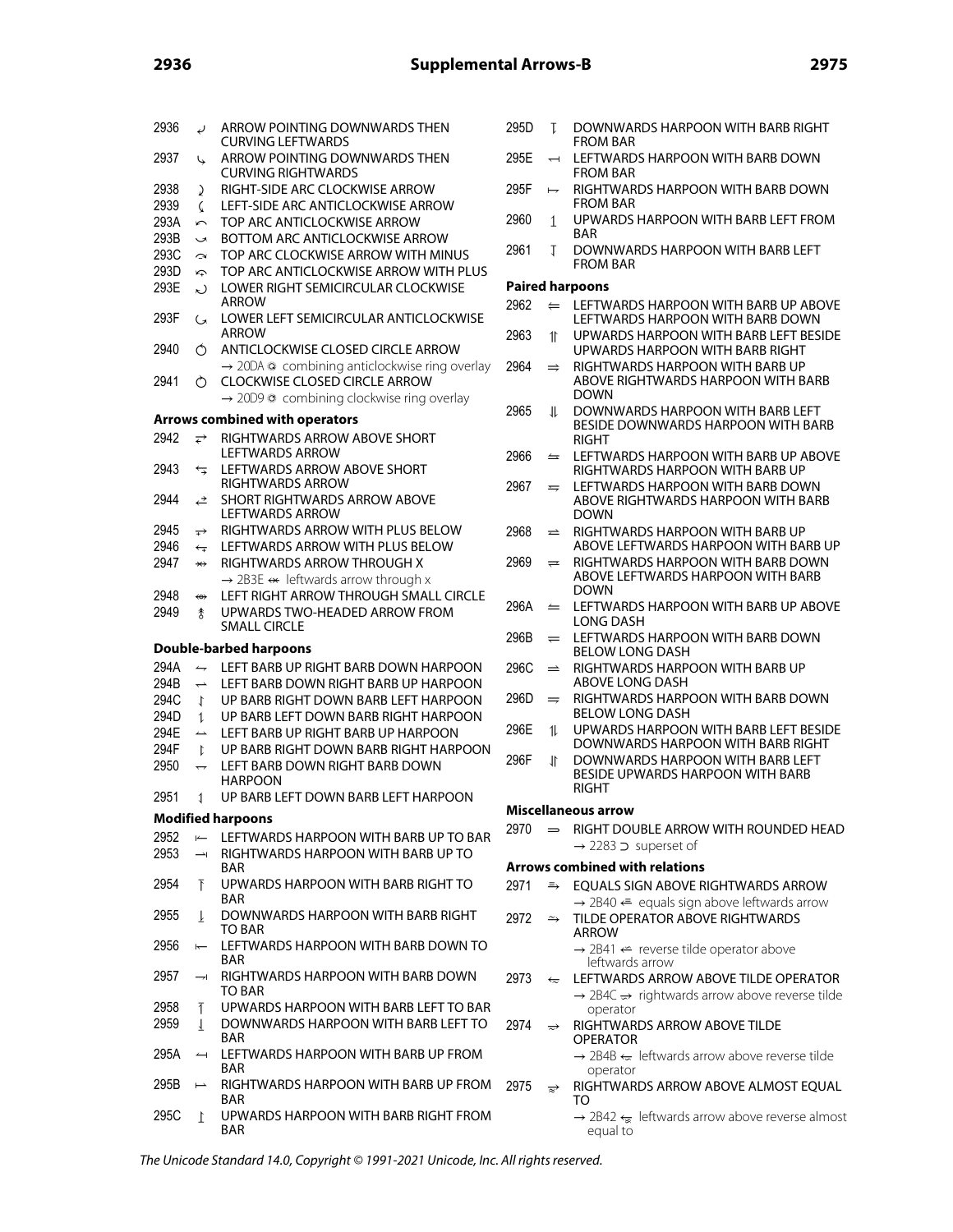| 2936 | $\epsilon$               | ARROW POINTING DOWNWARDS THEN<br><b>CURVING LEFTWARDS</b>                                                  | 2 <sup>0</sup> |
|------|--------------------------|------------------------------------------------------------------------------------------------------------|----------------|
| 2937 | ↳                        | ARROW POINTING DOWNWARDS THEN<br><b>CURVING RIGHTWARDS</b>                                                 | 2 <sup>0</sup> |
| 2938 |                          | RIGHT-SIDE ARC CLOCKWISE ARROW                                                                             | 2!             |
| 2939 | ♪<br>C                   | LEFT-SIDE ARC ANTICLOCKWISE ARROW                                                                          |                |
|      |                          |                                                                                                            | 2 <sup>0</sup> |
| 293A | $\sqrt{ }$               | TOP ARC ANTICLOCKWISE ARROW                                                                                |                |
| 293B | $\overline{\phantom{0}}$ | <b>BOTTOM ARC ANTICLOCKWISE ARROW</b>                                                                      | 2 <sup>0</sup> |
| 293C | $\rightarrow$            | TOP ARC CLOCKWISE ARROW WITH MINUS                                                                         |                |
| 293D | Ą                        | TOP ARC ANTICLOCKWISE ARROW WITH PLUS                                                                      |                |
| 293E | ん                        | LOWER RIGHT SEMICIRCULAR CLOCKWISE<br><b>ARROW</b>                                                         | Ρ<br>2!        |
| 293F | G                        | LOWER LEFT SEMICIRCULAR ANTICLOCKWISE<br><b>ARROW</b>                                                      | 2 <sup>0</sup> |
| 2940 | Ó                        | ANTICLOCKWISE CLOSED CIRCLE ARROW<br>$\rightarrow$ 20DA $\circ$ combining anticlockwise ring overlay       | 2!             |
| 2941 | Ò                        | <b>CLOCKWISE CLOSED CIRCLE ARROW</b><br>$\rightarrow$ 20D9 $\circledcirc$ combining clockwise ring overlay |                |
|      |                          |                                                                                                            | 2 <sup>0</sup> |
|      |                          | <b>Arrows combined with operators</b>                                                                      |                |
| 2942 | ⇄                        | RIGHTWARDS ARROW ABOVE SHORT<br><b>LEFTWARDS ARROW</b>                                                     | 2!             |
| 2943 | ⇆                        | LEFTWARDS ARROW ABOVE SHORT<br>RIGHTWARDS ARROW                                                            | 2 <sup>0</sup> |
| 2944 | ⇄                        | <b>SHORT RIGHTWARDS ARROW ABOVE</b><br><b>LEFTWARDS ARROW</b>                                              |                |
| 2945 | $\overrightarrow{+}$     | RIGHTWARDS ARROW WITH PLUS BELOW                                                                           | 2 <sup>0</sup> |
| 2946 | $\overleftarrow{\tau}$   | LEFTWARDS ARROW WITH PLUS BELOW                                                                            |                |
| 2947 | $\leftrightarrow$        | RIGHTWARDS ARROW THROUGH X                                                                                 | 2!             |
|      |                          | $\rightarrow$ 2B3E $\leftrightarrow$ leftwards arrow through x                                             |                |
| 2948 | ⇔                        | LEFT RIGHT ARROW THROUGH SMALL CIRCLE                                                                      |                |
| 2949 |                          | UPWARDS TWO-HEADED ARROW FROM                                                                              | 2 <sup>0</sup> |
|      | ま                        | <b>SMALL CIRCLE</b>                                                                                        |                |
|      |                          |                                                                                                            | 2!             |
|      |                          | <b>Double-barbed harpoons</b>                                                                              |                |
| 294A | $\rightarrow$            | LEFT BARB UP RIGHT BARB DOWN HARPOON                                                                       | 2 <sup>0</sup> |
| 294B | $\rightarrow$            | LEFT BARB DOWN RIGHT BARB UP HARPOON                                                                       |                |
| 294C | $\downarrow$             | UP BARB RIGHT DOWN BARB LEFT HARPOON                                                                       | 2 <sup>0</sup> |
| 294D | 1                        | UP BARB LEFT DOWN BARB RIGHT HARPOON                                                                       |                |
| 294E | $\overline{\phantom{a}}$ | LEFT BARB UP RIGHT BARB UP HARPOON                                                                         | 2 <sup>0</sup> |
| 294F | $\ddot{\iota}$           | UP BARB RIGHT DOWN BARB RIGHT HARPOON                                                                      |                |
| 2950 |                          | LEFT BARB DOWN RIGHT BARB DOWN                                                                             | 2 <sup>0</sup> |
|      |                          | <b>HARPOON</b>                                                                                             |                |
| 2951 | 1                        | UP BARB LEFT DOWN BARB LEFT HARPOON                                                                        |                |
|      |                          | <b>Modified harpoons</b>                                                                                   | N              |
| 2952 | $\leftarrow$             | LEFTWARDS HARPOON WITH BARB UP TO BAR                                                                      | 2!             |
| 2953 | $\rightarrow$            | RIGHTWARDS HARPOON WITH BARB UP TO                                                                         |                |
|      |                          | <b>BAR</b>                                                                                                 | Α              |
| 2954 | Ŧ                        | UPWARDS HARPOON WITH BARB RIGHT TO<br><b>BAR</b>                                                           | 2!             |
| 2955 | T                        | DOWNWARDS HARPOON WITH BARB RIGHT<br>TO BAR                                                                | 2!             |
| 2956 | $\overline{}$            | LEFTWARDS HARPOON WITH BARB DOWN TO                                                                        |                |
| 2957 | ⇥                        | BAR<br>RIGHTWARDS HARPOON WITH BARB DOWN                                                                   | 2!             |
|      |                          | TO BAR                                                                                                     |                |
| 2958 | Ŧ                        | UPWARDS HARPOON WITH BARB LEFT TO BAR                                                                      |                |
| 2959 | $\perp$                  | DOWNWARDS HARPOON WITH BARB LEFT TO                                                                        | 2!             |
|      |                          | <b>BAR</b>                                                                                                 |                |
|      |                          |                                                                                                            |                |
| 295A | $\rightarrow$            | LEFTWARDS HARPOON WITH BARB UP FROM<br>BAR                                                                 |                |
| 295B | $\overline{\phantom{0}}$ | RIGHTWARDS HARPOON WITH BARB UP FROM<br><b>BAR</b>                                                         | 2!             |

- 95D T DOWNWARDS HARPOON WITH BARB RIGHT FROM BAR
- 95E  $\rightarrow$  LEFTWARDS HARPOON WITH BARB DOWN FROM BAR
- $95F \rightarrow RIGHTWARDS HARPON WITH BARB DOWN$ FROM BAR
- 960 1 UPWARDS HARPOON WITH BARB LEFT FROM BAR
- 961 **T** DOWNWARDS HARPOON WITH BARB LEFT FROM BAR

## **Paired harpoons**

- $962 \Leftrightarrow$  LEFTWARDS HARPOON WITH BARB UP ABOVE LEFTWARDS HARPOON WITH BARB DOWN
- 963 1 UPWARDS HARPOON WITH BARB LEFT BESIDE UPWARDS HARPOON WITH BARB RIGHT
- $964 \Rightarrow$  RIGHTWARDS HARPOON WITH BARB UP ABOVE RIGHTWARDS HARPOON WITH BARB DOWN
- 965 U DOWNWARDS HARPOON WITH BARB LEFT BESIDE DOWNWARDS HARPOON WITH BARB RIGHT
- $966 \leq$  LEFTWARDS HARPOON WITH BARB UP ABOVE RIGHTWARDS HARPOON WITH BARB UP
- $967 \approx$  LEFTWARDS HARPOON WITH BARB DOWN ABOVE RIGHTWARDS HARPOON WITH BARB DOWN
- $968$   $\Rightarrow$  RIGHTWARDS HARPOON WITH BARB UP ABOVE LEFTWARDS HARPOON WITH BARB UP
- $969 \Rightarrow$  RIGHTWARDS HARPOON WITH BARB DOWN ABOVE LEFTWARDS HARPOON WITH BARB DOWN
- $96A \cong$  LEFTWARDS HARPOON WITH BARB UP ABOVE LONG DASH
- $96B$   $\rightleftharpoons$  LEFTWARDS HARPOON WITH BARB DOWN BELOW LONG DASH
- $96C$   $\Rightarrow$  RIGHTWARDS HARPOON WITH BARB UP ABOVE LONG DASH
- $96D$   $\Rightarrow$  RIGHTWARDS HARPOON WITH BARB DOWN BELOW LONG DASH
- 96E 1 UPWARDS HARPOON WITH BARB LEFT BESIDE DOWNWARDS HARPOON WITH BARB RIGHT
- 96F JI DOWNWARDS HARPOON WITH BARB LEFT BESIDE UPWARDS HARPOON WITH BARB RIGHT

### **Miscellaneous arrow**

970  $\implies$  RIGHT DOUBLE ARROW WITH ROUNDED HEAD → 2283 ⊃ superset of

# **Arrows combined with relations**

- 971  $\Rightarrow$  EQUALS SIGN ABOVE RIGHTWARDS ARROW  $\rightarrow$  2B40  $\Leftarrow$  equals sign above leftwards arrow
- $972 \rightarrow$  TILDE OPERATOR ABOVE RIGHTWARDS ARROW  $\rightarrow$  2B41  $\leftarrow$  reverse tilde operator above
- leftwards arrow  $973 \leftarrow$  LEFTWARDS ARROW ABOVE TILDE OPERATOR  $\rightarrow$  2B4C  $\rightarrow$  rightwards arrow above reverse tilde operator
- 974  $\Rightarrow$  RIGHTWARDS ARROW ABOVE TILDE OPERATOR
	- $\rightarrow$  2B4B  $\leftarrow$  leftwards arrow above reverse tilde operator
- 975  $\Rightarrow$  RIGHTWARDS ARROW ABOVE ALMOST EQUAL TO
	- $\rightarrow$  2B42  $\leftarrow$  leftwards arrow above reverse almost equal to

The Unicode Standard 14.0, Copyright © 1991-2021 Unicode, Inc. All rights reserved.

BAR